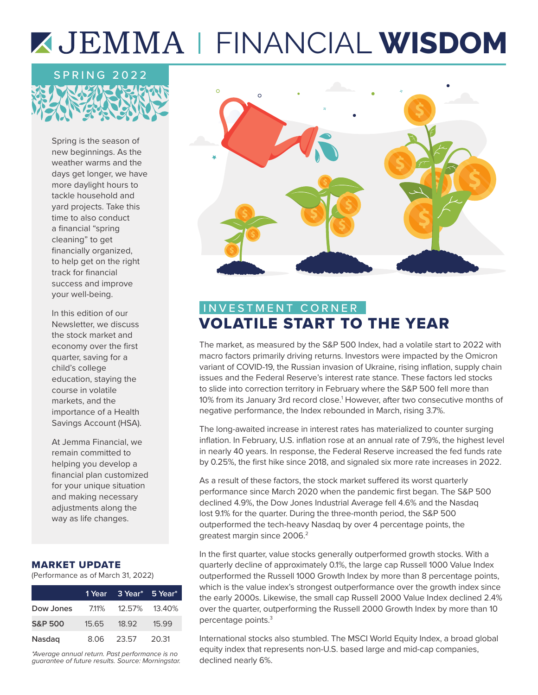# FINANCIAL **WISDOM**



Spring is the season of new beginnings. As the weather warms and the days get longer, we have more daylight hours to tackle household and yard projects. Take this time to also conduct a financial "spring cleaning" to get financially organized, to help get on the right track for financial success and improve your well-being.

In this edition of our Newsletter, we discuss the stock market and economy over the first quarter, saving for a child's college education, staying the course in volatile markets, and the importance of a Health Savings Account (HSA).

At Jemma Financial, we remain committed to helping you develop a financial plan customized for your unique situation and making necessary adjustments along the way as life changes.

#### MARKET UPDATE

(Performance as of March 31, 2022)

|                    |       | 1 Year 3 Year* 5 Year* |               |
|--------------------|-------|------------------------|---------------|
| Dow Jones          | 7.11% |                        | 12.57% 13.40% |
| <b>S&amp;P 500</b> | 15.65 | 18.92                  | 15.99         |
| <b>Nasdag</b>      | 8.06  | 23.57                  | 20.31         |

*\*Average annual return. Past performance is no guarantee of future results. Source: Morningstar.*



# INVESTMENT CORNER VOLATILE START TO THE YEAR

The market, as measured by the S&P 500 Index, had a volatile start to 2022 with macro factors primarily driving returns. Investors were impacted by the Omicron variant of COVID-19, the Russian invasion of Ukraine, rising inflation, supply chain issues and the Federal Reserve's interest rate stance. These factors led stocks to slide into correction territory in February where the S&P 500 fell more than 10% from its January 3rd record close.<sup>1</sup> However, after two consecutive months of negative performance, the Index rebounded in March, rising 3.7%.

The long-awaited increase in interest rates has materialized to counter surging inflation. In February, U.S. inflation rose at an annual rate of 7.9%, the highest level in nearly 40 years. In response, the Federal Reserve increased the fed funds rate by 0.25%, the first hike since 2018, and signaled six more rate increases in 2022.

As a result of these factors, the stock market suffered its worst quarterly performance since March 2020 when the pandemic first began. The S&P 500 declined 4.9%, the Dow Jones Industrial Average fell 4.6% and the Nasdaq lost 9.1% for the quarter. During the three-month period, the S&P 500 outperformed the tech-heavy Nasdaq by over 4 percentage points, the greatest margin since 2006.<sup>2</sup>

In the first quarter, value stocks generally outperformed growth stocks. With a quarterly decline of approximately 0.1%, the large cap Russell 1000 Value Index outperformed the Russell 1000 Growth Index by more than 8 percentage points, which is the value index's strongest outperformance over the growth index since the early 2000s. Likewise, the small cap Russell 2000 Value Index declined 2.4% over the quarter, outperforming the Russell 2000 Growth Index by more than 10 percentage points.3

International stocks also stumbled. The MSCI World Equity Index, a broad global equity index that represents non-U.S. based large and mid-cap companies, declined nearly 6%.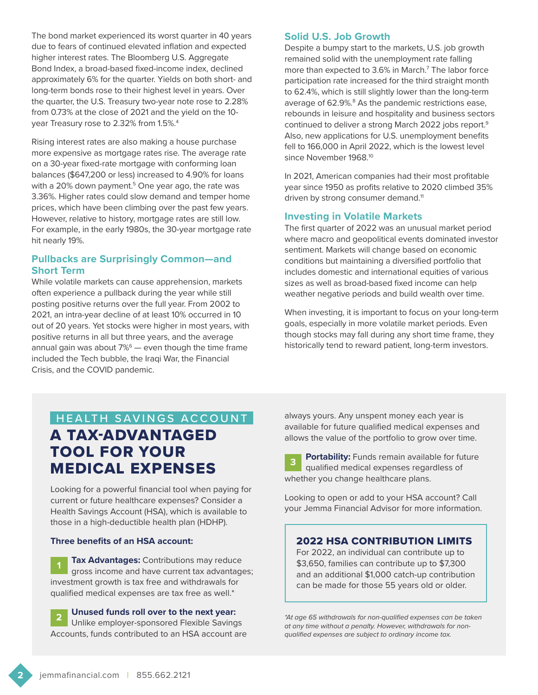The bond market experienced its worst quarter in 40 years due to fears of continued elevated inflation and expected higher interest rates. The Bloomberg U.S. Aggregate Bond Index, a broad-based fixed-income index, declined approximately 6% for the quarter. Yields on both short- and long-term bonds rose to their highest level in years. Over the quarter, the U.S. Treasury two-year note rose to 2.28% from 0.73% at the close of 2021 and the yield on the 10 year Treasury rose to 2.32% from 1.5%.4

Rising interest rates are also making a house purchase more expensive as mortgage rates rise. The average rate on a 30-year fixed-rate mortgage with conforming loan balances (\$647,200 or less) increased to 4.90% for loans with a 20% down payment.<sup>5</sup> One year ago, the rate was 3.36%. Higher rates could slow demand and temper home prices, which have been climbing over the past few years. However, relative to history, mortgage rates are still low. For example, in the early 1980s, the 30-year mortgage rate hit nearly 19%.

### **Pullbacks are Surprisingly Common—and Short Term**

While volatile markets can cause apprehension, markets often experience a pullback during the year while still posting positive returns over the full year. From 2002 to 2021, an intra-year decline of at least 10% occurred in 10 out of 20 years. Yet stocks were higher in most years, with positive returns in all but three years, and the average annual gain was about  $7\%$ <sup>6</sup>  $-$  even though the time frame included the Tech bubble, the Iraqi War, the Financial Crisis, and the COVID pandemic.

### **Solid U.S. Job Growth**

Despite a bumpy start to the markets, U.S. job growth remained solid with the unemployment rate falling more than expected to 3.6% in March.<sup>7</sup> The labor force participation rate increased for the third straight month to 62.4%, which is still slightly lower than the long-term average of 62.9%.<sup>8</sup> As the pandemic restrictions ease, rebounds in leisure and hospitality and business sectors continued to deliver a strong March 2022 jobs report.<sup>9</sup> Also, new applications for U.S. unemployment benefits fell to 166,000 in April 2022, which is the lowest level since November 1968.<sup>10</sup>

In 2021, American companies had their most profitable year since 1950 as profits relative to 2020 climbed 35% driven by strong consumer demand.<sup>11</sup>

#### **Investing in Volatile Markets**

The first quarter of 2022 was an unusual market period where macro and geopolitical events dominated investor sentiment. Markets will change based on economic conditions but maintaining a diversified portfolio that includes domestic and international equities of various sizes as well as broad-based fixed income can help weather negative periods and build wealth over time.

When investing, it is important to focus on your long-term goals, especially in more volatile market periods. Even though stocks may fall during any short time frame, they historically tend to reward patient, long-term investors.

# HEALTH SAVINGS ACCOUNT A TAX-ADVANTAGED TOOL FOR YOUR MEDICAL EXPENSES

Looking for a powerful financial tool when paying for current or future healthcare expenses? Consider a Health Savings Account (HSA), which is available to those in a high-deductible health plan (HDHP).

#### **Three benefits of an HSA account:**

**<sup>1</sup> Tax Advantages:** Contributions may reduce gross income and have current tax advantages; investment growth is tax free and withdrawals for qualified medical expenses are tax free as well.\*

**<sup>2</sup> Unused funds roll over to the next year:** Unlike employer-sponsored Flexible Savings Accounts, funds contributed to an HSA account are always yours. Any unspent money each year is available for future qualified medical expenses and allows the value of the portfolio to grow over time.

**3 Portability:** Funds remain available for future qualified medical expenses regardless of whether you change healthcare plans.

Looking to open or add to your HSA account? Call your Jemma Financial Advisor for more information.

## 2022 HSA CONTRIBUTION LIMITS

For 2022, an individual can contribute up to \$3,650, families can contribute up to \$7,300 and an additional \$1,000 catch-up contribution can be made for those 55 years old or older.

*\*At age 65 withdrawals for non-qualified expenses can be taken at any time without a penalty. However, withdrawals for nonqualified expenses are subject to ordinary income tax.*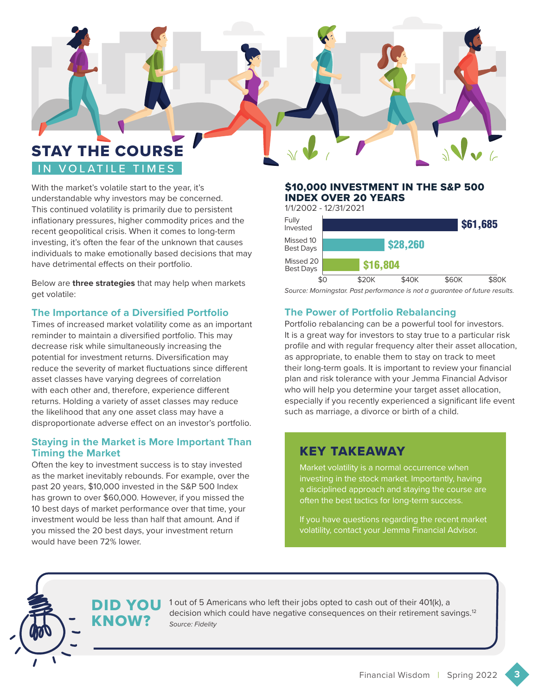# STAY THE COURSE IN VOLATILE TIMES

With the market's volatile start to the year, it's understandable why investors may be concerned. This continued volatility is primarily due to persistent inflationary pressures, higher commodity prices and the recent geopolitical crisis. When it comes to long-term investing, it's often the fear of the unknown that causes individuals to make emotionally based decisions that may have detrimental effects on their portfolio.

Below are **three strategies** that may help when markets get volatile:

### **The Importance of a Diversified Portfolio**

Times of increased market volatility come as an important reminder to maintain a diversified portfolio. This may decrease risk while simultaneously increasing the potential for investment returns. Diversification may reduce the severity of market fluctuations since different asset classes have varying degrees of correlation with each other and, therefore, experience different returns. Holding a variety of asset classes may reduce the likelihood that any one asset class may have a disproportionate adverse effect on an investor's portfolio.

#### **Staying in the Market is More Important Than Timing the Market**

Often the key to investment success is to stay invested as the market inevitably rebounds. For example, over the past 20 years, \$10,000 invested in the S&P 500 Index has grown to over \$60,000. However, if you missed the 10 best days of market performance over that time, your investment would be less than half that amount. And if you missed the 20 best days, your investment return would have been 72% lower.

# \$10,000 INVESTMENT IN THE S&P 500 INDEX OVER 20 YEARS

1/1/2002 - 12/31/2021

| Fully<br>Invested             |  |          | \$61,685 |       |       |
|-------------------------------|--|----------|----------|-------|-------|
| Missed 10<br>Best Days        |  | \$28,260 |          |       |       |
| Missed 20<br><b>Best Days</b> |  |          |          |       |       |
| \$0                           |  | \$20K    | \$40K    | \$60K | \$80K |

*Source: Morningstar. Past performance is not a guarantee of future results.*

## **The Power of Portfolio Rebalancing**

Portfolio rebalancing can be a powerful tool for investors. It is a great way for investors to stay true to a particular risk profile and with regular frequency alter their asset allocation, as appropriate, to enable them to stay on track to meet their long-term goals. It is important to review your financial plan and risk tolerance with your Jemma Financial Advisor who will help you determine your target asset allocation, especially if you recently experienced a significant life event such as marriage, a divorce or birth of a child.

# KEY TAKEAWAY

Market volatility is a normal occurrence when investing in the stock market. Importantly, having a disciplined approach and staying the course are often the best tactics for long-term success.

If you have questions regarding the recent market volatility, contact your Jemma Financial Advisor.



KNOW?

**DID YOU** 1 out of 5 Americans who left their jobs opted to cash out of their 401(k), a<br>decision which could have negative consequences on their retirement say decision which could have negative consequences on their retirement savings.<sup>12</sup> *Source: Fidelity*